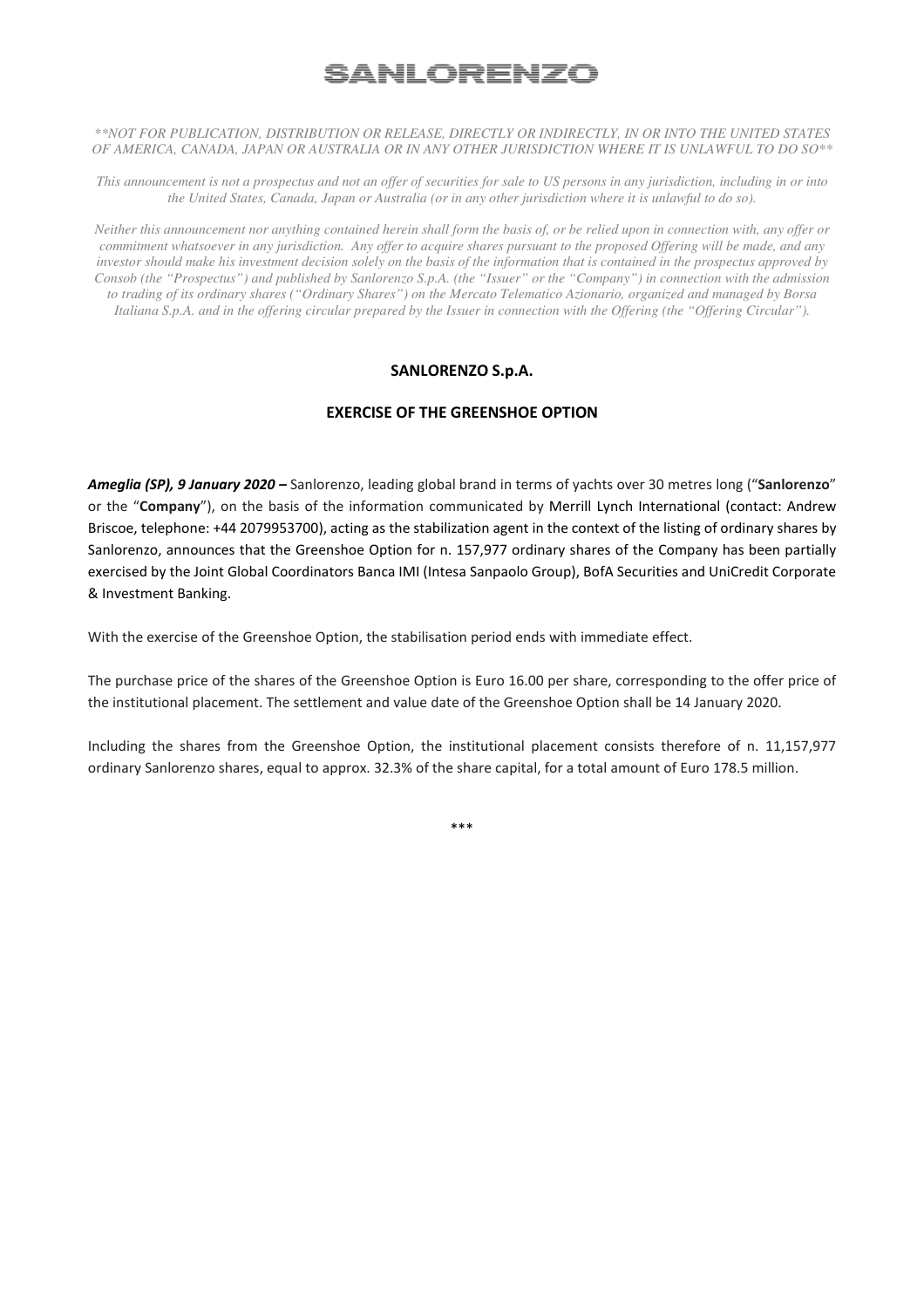# <u>SANLORENZ(</u>

*\*\*NOT FOR PUBLICATION, DISTRIBUTION OR RELEASE, DIRECTLY OR INDIRECTLY, IN OR INTO THE UNITED STATES OF AMERICA, CANADA, JAPAN OR AUSTRALIA OR IN ANY OTHER JURISDICTION WHERE IT IS UNLAWFUL TO DO SO\*\** 

*This announcement is not a prospectus and not an offer of securities for sale to US persons in any jurisdiction, including in or into the United States, Canada, Japan or Australia (or in any other jurisdiction where it is unlawful to do so).* 

*Neither this announcement nor anything contained herein shall form the basis of, or be relied upon in connection with, any offer or commitment whatsoever in any jurisdiction. Any offer to acquire shares pursuant to the proposed Offering will be made, and any investor should make his investment decision solely on the basis of the information that is contained in the prospectus approved by Consob (the "Prospectus") and published by Sanlorenzo S.p.A. (the "Issuer" or the "Company") in connection with the admission to trading of its ordinary shares ("Ordinary Shares") on the Mercato Telematico Azionario, organized and managed by Borsa Italiana S.p.A. and in the offering circular prepared by the Issuer in connection with the Offering (the "Offering Circular").*

## **SANLORENZO S.p.A.**

## **EXERCISE OF THE GREENSHOE OPTION**

*Ameglia (SP), 9 January 2020 –* Sanlorenzo, leading global brand in terms of yachts over 30 metres long ("**Sanlorenzo**" or the "**Company**"), on the basis of the information communicated by Merrill Lynch International (contact: Andrew Briscoe, telephone: +44 2079953700), acting as the stabilization agent in the context of the listing of ordinary shares by Sanlorenzo, announces that the Greenshoe Option for n. 157,977 ordinary shares of the Company has been partially exercised by the Joint Global Coordinators Banca IMI (Intesa Sanpaolo Group), BofA Securities and UniCredit Corporate & Investment Banking.

With the exercise of the Greenshoe Option, the stabilisation period ends with immediate effect.

The purchase price of the shares of the Greenshoe Option is Euro 16.00 per share, corresponding to the offer price of the institutional placement. The settlement and value date of the Greenshoe Option shall be 14 January 2020.

Including the shares from the Greenshoe Option, the institutional placement consists therefore of n. 11,157,977 ordinary Sanlorenzo shares, equal to approx. 32.3% of the share capital, for a total amount of Euro 178.5 million.

\*\*\*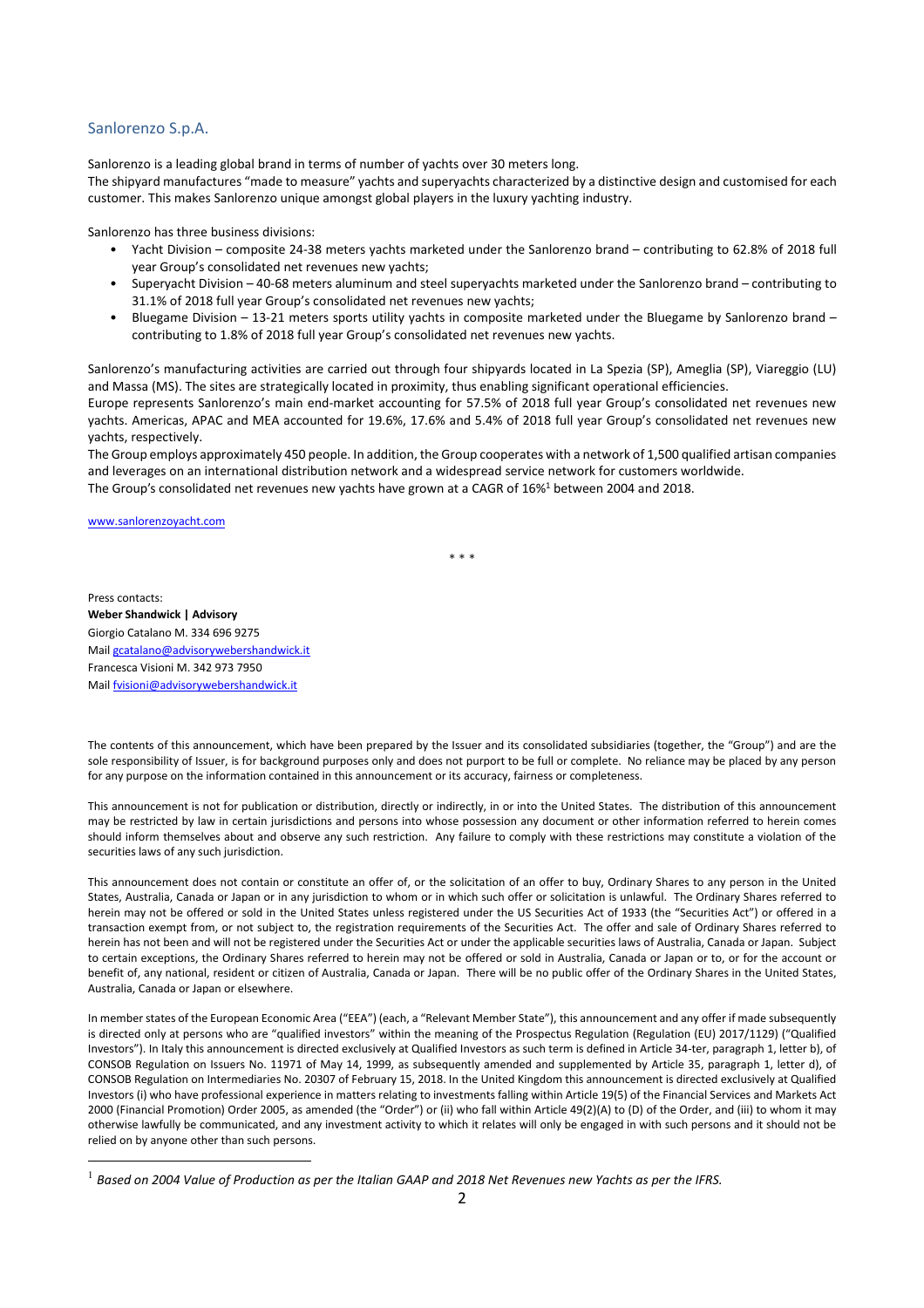#### Sanlorenzo S.p.A.

Sanlorenzo is a leading global brand in terms of number of yachts over 30 meters long.

The shipyard manufactures "made to measure" yachts and superyachts characterized by a distinctive design and customised for each customer. This makes Sanlorenzo unique amongst global players in the luxury yachting industry.

Sanlorenzo has three business divisions:

- Yacht Division composite 24-38 meters yachts marketed under the Sanlorenzo brand contributing to 62.8% of 2018 full year Group's consolidated net revenues new yachts;
- Superyacht Division 40-68 meters aluminum and steel superyachts marketed under the Sanlorenzo brand contributing to 31.1% of 2018 full year Group's consolidated net revenues new yachts;
- Bluegame Division 13-21 meters sports utility yachts in composite marketed under the Bluegame by Sanlorenzo brand contributing to 1.8% of 2018 full year Group's consolidated net revenues new yachts.

Sanlorenzo's manufacturing activities are carried out through four shipyards located in La Spezia (SP), Ameglia (SP), Viareggio (LU) and Massa (MS). The sites are strategically located in proximity, thus enabling significant operational efficiencies. Europe represents Sanlorenzo's main end-market accounting for 57.5% of 2018 full year Group's consolidated net revenues new yachts. Americas, APAC and MEA accounted for 19.6%, 17.6% and 5.4% of 2018 full year Group's consolidated net revenues new yachts, respectively.

The Group employs approximately 450 people. In addition, the Group cooperates with a network of 1,500 qualified artisan companies and leverages on an international distribution network and a widespread service network for customers worldwide. The Group's consolidated net revenues new yachts have grown at a CAGR of 16%<sup>1</sup> between 2004 and 2018.

www.sanlorenzoyacht.com

\* \* \*

Press contacts:

**Weber Shandwick | Advisory** Giorgio Catalano M. 334 696 9275 Mail gcatalano@advisorywebershandwick.it Francesca Visioni M. 342 973 7950 Mail fvisioni@advisorywebershandwick.it

The contents of this announcement, which have been prepared by the Issuer and its consolidated subsidiaries (together, the "Group") and are the sole responsibility of Issuer, is for background purposes only and does not purport to be full or complete. No reliance may be placed by any person for any purpose on the information contained in this announcement or its accuracy, fairness or completeness.

This announcement is not for publication or distribution, directly or indirectly, in or into the United States. The distribution of this announcement may be restricted by law in certain jurisdictions and persons into whose possession any document or other information referred to herein comes should inform themselves about and observe any such restriction. Any failure to comply with these restrictions may constitute a violation of the securities laws of any such jurisdiction.

This announcement does not contain or constitute an offer of, or the solicitation of an offer to buy, Ordinary Shares to any person in the United States, Australia, Canada or Japan or in any jurisdiction to whom or in which such offer or solicitation is unlawful. The Ordinary Shares referred to herein may not be offered or sold in the United States unless registered under the US Securities Act of 1933 (the "Securities Act") or offered in a transaction exempt from, or not subject to, the registration requirements of the Securities Act. The offer and sale of Ordinary Shares referred to herein has not been and will not be registered under the Securities Act or under the applicable securities laws of Australia, Canada or Japan. Subject to certain exceptions, the Ordinary Shares referred to herein may not be offered or sold in Australia, Canada or Japan or to, or for the account or benefit of, any national, resident or citizen of Australia, Canada or Japan. There will be no public offer of the Ordinary Shares in the United States, Australia, Canada or Japan or elsewhere.

In member states of the European Economic Area ("EEA") (each, a "Relevant Member State"), this announcement and any offer if made subsequently is directed only at persons who are "qualified investors" within the meaning of the Prospectus Regulation (Regulation (EU) 2017/1129) ("Qualified Investors"). In Italy this announcement is directed exclusively at Qualified Investors as such term is defined in Article 34-ter, paragraph 1, letter b), of CONSOB Regulation on Issuers No. 11971 of May 14, 1999, as subsequently amended and supplemented by Article 35, paragraph 1, letter d), of CONSOB Regulation on Intermediaries No. 20307 of February 15, 2018. In the United Kingdom this announcement is directed exclusively at Qualified Investors (i) who have professional experience in matters relating to investments falling within Article 19(5) of the Financial Services and Markets Act 2000 (Financial Promotion) Order 2005, as amended (the "Order") or (ii) who fall within Article 49(2)(A) to (D) of the Order, and (iii) to whom it may otherwise lawfully be communicated, and any investment activity to which it relates will only be engaged in with such persons and it should not be relied on by anyone other than such persons.

<sup>&</sup>lt;sup>1</sup> Based on 2004 Value of Production as per the Italian GAAP and 2018 Net Revenues new Yachts as per the IFRS.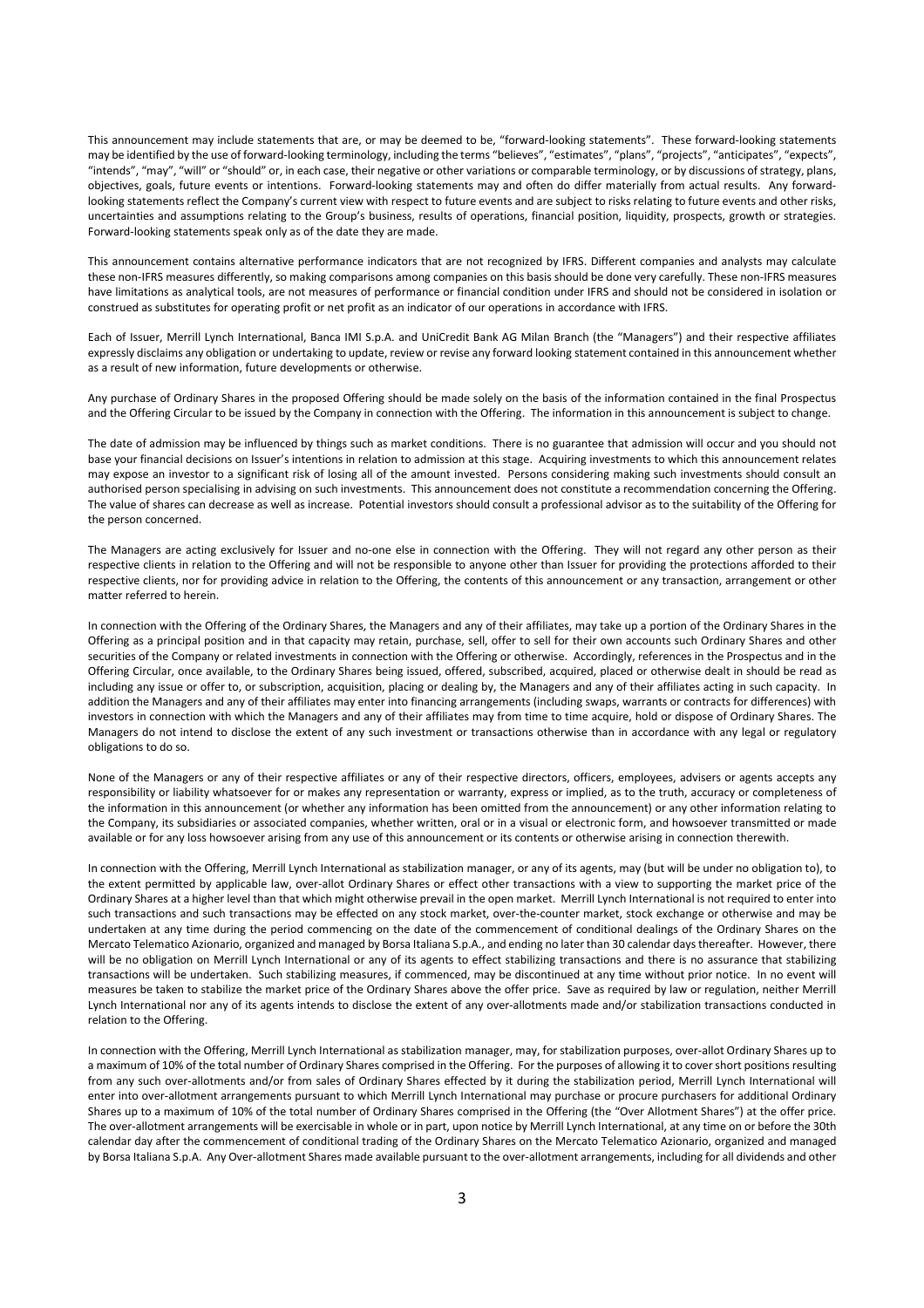This announcement may include statements that are, or may be deemed to be, "forward-looking statements". These forward-looking statements may be identified by the use of forward-looking terminology, including the terms "believes", "estimates", "plans", "projects", "anticipates", "expects", "intends", "may", "will" or "should" or, in each case, their negative or other variations or comparable terminology, or by discussions of strategy, plans, objectives, goals, future events or intentions. Forward-looking statements may and often do differ materially from actual results. Any forwardlooking statements reflect the Company's current view with respect to future events and are subject to risks relating to future events and other risks, uncertainties and assumptions relating to the Group's business, results of operations, financial position, liquidity, prospects, growth or strategies. Forward-looking statements speak only as of the date they are made.

This announcement contains alternative performance indicators that are not recognized by IFRS. Different companies and analysts may calculate these non-IFRS measures differently, so making comparisons among companies on this basis should be done very carefully. These non-IFRS measures have limitations as analytical tools, are not measures of performance or financial condition under IFRS and should not be considered in isolation or construed as substitutes for operating profit or net profit as an indicator of our operations in accordance with IFRS.

Each of Issuer, Merrill Lynch International, Banca IMI S.p.A. and UniCredit Bank AG Milan Branch (the "Managers") and their respective affiliates expressly disclaims any obligation or undertaking to update, review or revise any forward looking statement contained in this announcement whether as a result of new information, future developments or otherwise.

Any purchase of Ordinary Shares in the proposed Offering should be made solely on the basis of the information contained in the final Prospectus and the Offering Circular to be issued by the Company in connection with the Offering. The information in this announcement is subject to change.

The date of admission may be influenced by things such as market conditions. There is no guarantee that admission will occur and you should not base your financial decisions on Issuer's intentions in relation to admission at this stage. Acquiring investments to which this announcement relates may expose an investor to a significant risk of losing all of the amount invested. Persons considering making such investments should consult an authorised person specialising in advising on such investments. This announcement does not constitute a recommendation concerning the Offering. The value of shares can decrease as well as increase. Potential investors should consult a professional advisor as to the suitability of the Offering for the person concerned.

The Managers are acting exclusively for Issuer and no-one else in connection with the Offering. They will not regard any other person as their respective clients in relation to the Offering and will not be responsible to anyone other than Issuer for providing the protections afforded to their respective clients, nor for providing advice in relation to the Offering, the contents of this announcement or any transaction, arrangement or other matter referred to herein.

In connection with the Offering of the Ordinary Shares, the Managers and any of their affiliates, may take up a portion of the Ordinary Shares in the Offering as a principal position and in that capacity may retain, purchase, sell, offer to sell for their own accounts such Ordinary Shares and other securities of the Company or related investments in connection with the Offering or otherwise. Accordingly, references in the Prospectus and in the Offering Circular, once available, to the Ordinary Shares being issued, offered, subscribed, acquired, placed or otherwise dealt in should be read as including any issue or offer to, or subscription, acquisition, placing or dealing by, the Managers and any of their affiliates acting in such capacity. In addition the Managers and any of their affiliates may enter into financing arrangements (including swaps, warrants or contracts for differences) with investors in connection with which the Managers and any of their affiliates may from time to time acquire, hold or dispose of Ordinary Shares. The Managers do not intend to disclose the extent of any such investment or transactions otherwise than in accordance with any legal or regulatory obligations to do so.

None of the Managers or any of their respective affiliates or any of their respective directors, officers, employees, advisers or agents accepts any responsibility or liability whatsoever for or makes any representation or warranty, express or implied, as to the truth, accuracy or completeness of the information in this announcement (or whether any information has been omitted from the announcement) or any other information relating to the Company, its subsidiaries or associated companies, whether written, oral or in a visual or electronic form, and howsoever transmitted or made available or for any loss howsoever arising from any use of this announcement or its contents or otherwise arising in connection therewith.

In connection with the Offering, Merrill Lynch International as stabilization manager, or any of its agents, may (but will be under no obligation to), to the extent permitted by applicable law, over-allot Ordinary Shares or effect other transactions with a view to supporting the market price of the Ordinary Shares at a higher level than that which might otherwise prevail in the open market. Merrill Lynch International is not required to enter into such transactions and such transactions may be effected on any stock market, over-the-counter market, stock exchange or otherwise and may be undertaken at any time during the period commencing on the date of the commencement of conditional dealings of the Ordinary Shares on the Mercato Telematico Azionario, organized and managed by Borsa Italiana S.p.A., and ending no later than 30 calendar days thereafter. However, there will be no obligation on Merrill Lynch International or any of its agents to effect stabilizing transactions and there is no assurance that stabilizing transactions will be undertaken. Such stabilizing measures, if commenced, may be discontinued at any time without prior notice. In no event will measures be taken to stabilize the market price of the Ordinary Shares above the offer price. Save as required by law or regulation, neither Merrill Lynch International nor any of its agents intends to disclose the extent of any over-allotments made and/or stabilization transactions conducted in relation to the Offering.

In connection with the Offering, Merrill Lynch International as stabilization manager, may, for stabilization purposes, over-allot Ordinary Shares up to a maximum of 10% of the total number of Ordinary Shares comprised in the Offering. For the purposes of allowing it to cover short positions resulting from any such over-allotments and/or from sales of Ordinary Shares effected by it during the stabilization period, Merrill Lynch International will enter into over-allotment arrangements pursuant to which Merrill Lynch International may purchase or procure purchasers for additional Ordinary Shares up to a maximum of 10% of the total number of Ordinary Shares comprised in the Offering (the "Over Allotment Shares") at the offer price. The over-allotment arrangements will be exercisable in whole or in part, upon notice by Merrill Lynch International, at any time on or before the 30th calendar day after the commencement of conditional trading of the Ordinary Shares on the Mercato Telematico Azionario, organized and managed by Borsa Italiana S.p.A. Any Over-allotment Shares made available pursuant to the over-allotment arrangements, including for all dividends and other